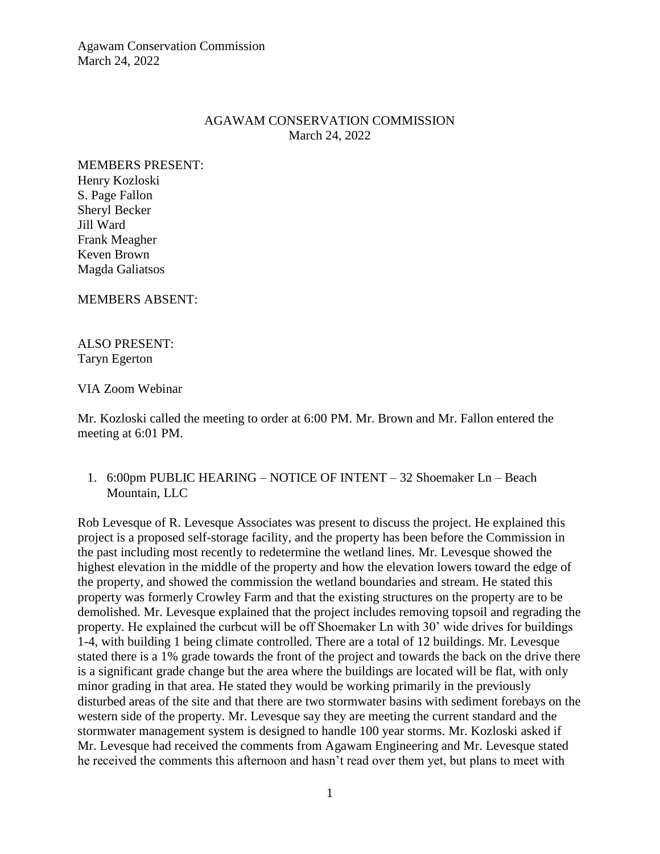Agawam Conservation Commission March 24, 2022

### AGAWAM CONSERVATION COMMISSION March 24, 2022

MEMBERS PRESENT: Henry Kozloski S. Page Fallon Sheryl Becker Jill Ward Frank Meagher Keven Brown Magda Galiatsos

MEMBERS ABSENT:

ALSO PRESENT: Taryn Egerton

VIA Zoom Webinar

Mr. Kozloski called the meeting to order at 6:00 PM. Mr. Brown and Mr. Fallon entered the meeting at 6:01 PM.

1. 6:00pm PUBLIC HEARING – NOTICE OF INTENT – 32 Shoemaker Ln – Beach Mountain, LLC

Rob Levesque of R. Levesque Associates was present to discuss the project. He explained this project is a proposed self-storage facility, and the property has been before the Commission in the past including most recently to redetermine the wetland lines. Mr. Levesque showed the highest elevation in the middle of the property and how the elevation lowers toward the edge of the property, and showed the commission the wetland boundaries and stream. He stated this property was formerly Crowley Farm and that the existing structures on the property are to be demolished. Mr. Levesque explained that the project includes removing topsoil and regrading the property. He explained the curbcut will be off Shoemaker Ln with 30' wide drives for buildings 1-4, with building 1 being climate controlled. There are a total of 12 buildings. Mr. Levesque stated there is a 1% grade towards the front of the project and towards the back on the drive there is a significant grade change but the area where the buildings are located will be flat, with only minor grading in that area. He stated they would be working primarily in the previously disturbed areas of the site and that there are two stormwater basins with sediment forebays on the western side of the property. Mr. Levesque say they are meeting the current standard and the stormwater management system is designed to handle 100 year storms. Mr. Kozloski asked if Mr. Levesque had received the comments from Agawam Engineering and Mr. Levesque stated he received the comments this afternoon and hasn't read over them yet, but plans to meet with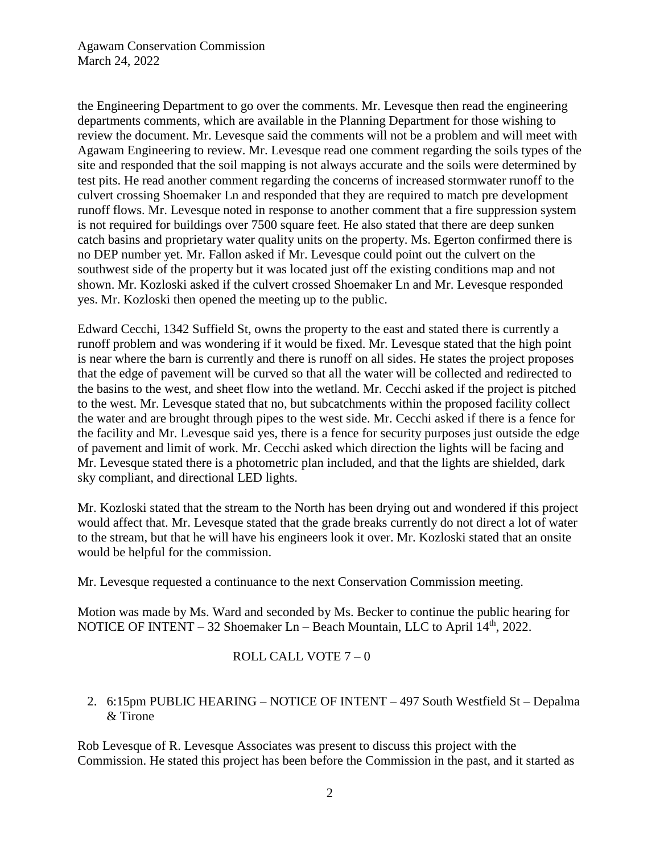the Engineering Department to go over the comments. Mr. Levesque then read the engineering departments comments, which are available in the Planning Department for those wishing to review the document. Mr. Levesque said the comments will not be a problem and will meet with Agawam Engineering to review. Mr. Levesque read one comment regarding the soils types of the site and responded that the soil mapping is not always accurate and the soils were determined by test pits. He read another comment regarding the concerns of increased stormwater runoff to the culvert crossing Shoemaker Ln and responded that they are required to match pre development runoff flows. Mr. Levesque noted in response to another comment that a fire suppression system is not required for buildings over 7500 square feet. He also stated that there are deep sunken catch basins and proprietary water quality units on the property. Ms. Egerton confirmed there is no DEP number yet. Mr. Fallon asked if Mr. Levesque could point out the culvert on the southwest side of the property but it was located just off the existing conditions map and not shown. Mr. Kozloski asked if the culvert crossed Shoemaker Ln and Mr. Levesque responded yes. Mr. Kozloski then opened the meeting up to the public.

Edward Cecchi, 1342 Suffield St, owns the property to the east and stated there is currently a runoff problem and was wondering if it would be fixed. Mr. Levesque stated that the high point is near where the barn is currently and there is runoff on all sides. He states the project proposes that the edge of pavement will be curved so that all the water will be collected and redirected to the basins to the west, and sheet flow into the wetland. Mr. Cecchi asked if the project is pitched to the west. Mr. Levesque stated that no, but subcatchments within the proposed facility collect the water and are brought through pipes to the west side. Mr. Cecchi asked if there is a fence for the facility and Mr. Levesque said yes, there is a fence for security purposes just outside the edge of pavement and limit of work. Mr. Cecchi asked which direction the lights will be facing and Mr. Levesque stated there is a photometric plan included, and that the lights are shielded, dark sky compliant, and directional LED lights.

Mr. Kozloski stated that the stream to the North has been drying out and wondered if this project would affect that. Mr. Levesque stated that the grade breaks currently do not direct a lot of water to the stream, but that he will have his engineers look it over. Mr. Kozloski stated that an onsite would be helpful for the commission.

Mr. Levesque requested a continuance to the next Conservation Commission meeting.

Motion was made by Ms. Ward and seconded by Ms. Becker to continue the public hearing for NOTICE OF INTENT – 32 Shoemaker Ln – Beach Mountain, LLC to April  $14<sup>th</sup>$ , 2022.

# ROLL CALL VOTE 7 – 0

# 2. 6:15pm PUBLIC HEARING – NOTICE OF INTENT – 497 South Westfield St – Depalma & Tirone

Rob Levesque of R. Levesque Associates was present to discuss this project with the Commission. He stated this project has been before the Commission in the past, and it started as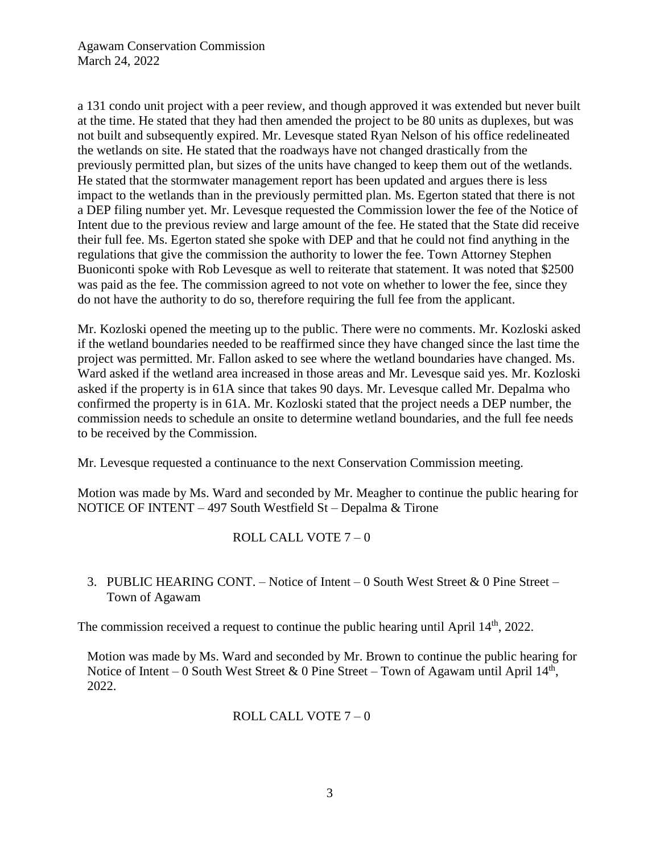a 131 condo unit project with a peer review, and though approved it was extended but never built at the time. He stated that they had then amended the project to be 80 units as duplexes, but was not built and subsequently expired. Mr. Levesque stated Ryan Nelson of his office redelineated the wetlands on site. He stated that the roadways have not changed drastically from the previously permitted plan, but sizes of the units have changed to keep them out of the wetlands. He stated that the stormwater management report has been updated and argues there is less impact to the wetlands than in the previously permitted plan. Ms. Egerton stated that there is not a DEP filing number yet. Mr. Levesque requested the Commission lower the fee of the Notice of Intent due to the previous review and large amount of the fee. He stated that the State did receive their full fee. Ms. Egerton stated she spoke with DEP and that he could not find anything in the regulations that give the commission the authority to lower the fee. Town Attorney Stephen Buoniconti spoke with Rob Levesque as well to reiterate that statement. It was noted that \$2500 was paid as the fee. The commission agreed to not vote on whether to lower the fee, since they do not have the authority to do so, therefore requiring the full fee from the applicant.

Mr. Kozloski opened the meeting up to the public. There were no comments. Mr. Kozloski asked if the wetland boundaries needed to be reaffirmed since they have changed since the last time the project was permitted. Mr. Fallon asked to see where the wetland boundaries have changed. Ms. Ward asked if the wetland area increased in those areas and Mr. Levesque said yes. Mr. Kozloski asked if the property is in 61A since that takes 90 days. Mr. Levesque called Mr. Depalma who confirmed the property is in 61A. Mr. Kozloski stated that the project needs a DEP number, the commission needs to schedule an onsite to determine wetland boundaries, and the full fee needs to be received by the Commission.

Mr. Levesque requested a continuance to the next Conservation Commission meeting.

Motion was made by Ms. Ward and seconded by Mr. Meagher to continue the public hearing for NOTICE OF INTENT – 497 South Westfield St – Depalma & Tirone

# ROLL CALL VOTE 7 – 0

3. PUBLIC HEARING CONT. – Notice of Intent – 0 South West Street & 0 Pine Street – Town of Agawam

The commission received a request to continue the public hearing until April  $14<sup>th</sup>$ , 2022.

Motion was made by Ms. Ward and seconded by Mr. Brown to continue the public hearing for Notice of Intent – 0 South West Street & 0 Pine Street – Town of Agawam until April  $14<sup>th</sup>$ , 2022.

### ROLL CALL VOTE 7 – 0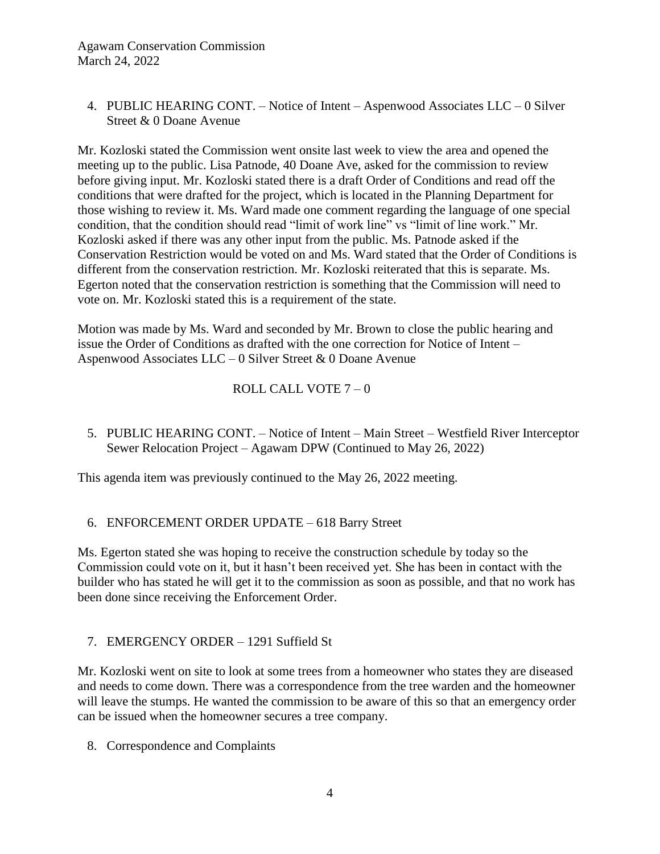# 4. PUBLIC HEARING CONT. – Notice of Intent – Aspenwood Associates LLC – 0 Silver Street & 0 Doane Avenue

Mr. Kozloski stated the Commission went onsite last week to view the area and opened the meeting up to the public. Lisa Patnode, 40 Doane Ave, asked for the commission to review before giving input. Mr. Kozloski stated there is a draft Order of Conditions and read off the conditions that were drafted for the project, which is located in the Planning Department for those wishing to review it. Ms. Ward made one comment regarding the language of one special condition, that the condition should read "limit of work line" vs "limit of line work." Mr. Kozloski asked if there was any other input from the public. Ms. Patnode asked if the Conservation Restriction would be voted on and Ms. Ward stated that the Order of Conditions is different from the conservation restriction. Mr. Kozloski reiterated that this is separate. Ms. Egerton noted that the conservation restriction is something that the Commission will need to vote on. Mr. Kozloski stated this is a requirement of the state.

Motion was made by Ms. Ward and seconded by Mr. Brown to close the public hearing and issue the Order of Conditions as drafted with the one correction for Notice of Intent – Aspenwood Associates LLC – 0 Silver Street & 0 Doane Avenue

# ROLL CALL VOTE 7 – 0

5. PUBLIC HEARING CONT. – Notice of Intent – Main Street – Westfield River Interceptor Sewer Relocation Project – Agawam DPW (Continued to May 26, 2022)

This agenda item was previously continued to the May 26, 2022 meeting.

# 6. ENFORCEMENT ORDER UPDATE – 618 Barry Street

Ms. Egerton stated she was hoping to receive the construction schedule by today so the Commission could vote on it, but it hasn't been received yet. She has been in contact with the builder who has stated he will get it to the commission as soon as possible, and that no work has been done since receiving the Enforcement Order.

# 7. EMERGENCY ORDER – 1291 Suffield St

Mr. Kozloski went on site to look at some trees from a homeowner who states they are diseased and needs to come down. There was a correspondence from the tree warden and the homeowner will leave the stumps. He wanted the commission to be aware of this so that an emergency order can be issued when the homeowner secures a tree company.

8. Correspondence and Complaints